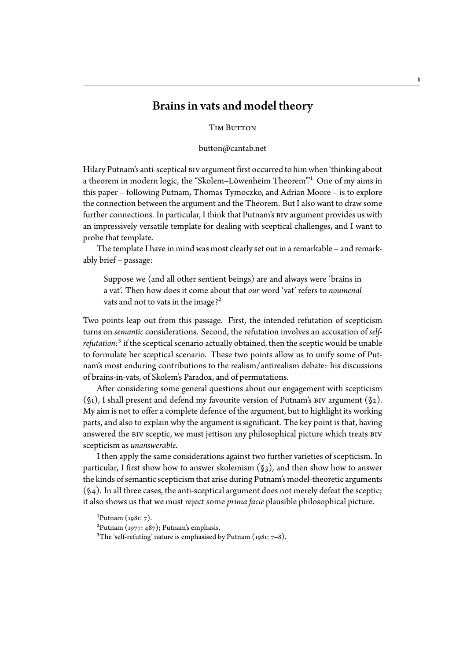# Brains in vats and model theory

### **TIM BUTTON**

#### button@cantab.net

Hilary Putnam's anti-sceptical BIV argument first occurred to him when 'thinking about a theorem in modern logic, the "Skolem-Löwenheim Theorem".<sup>1</sup> One of my aims in this paper - following Putnam, Thomas Tymoczko, and Adrian Moore - is to explore the connection between the argument and the Theorem. But I also want to draw some further connections. In particular, I think that Putnam's BIV argument provides us with an impressively versatile template for dealing with sceptical challenges, and I want to probe that template.

The template I have in mind was most clearly set out in a remarkable - and remarkably brief - passage:

Suppose we (and all other sentient beings) are and always were 'brains in a vat'. Then how does it come about that our word 'vat' refers to noumenal vats and not to vats in the image?<sup>2</sup>

Two points leap out from this passage. First, the intended refutation of scepticism turns on semantic considerations. Second, the refutation involves an accusation of selfrefutation:<sup>3</sup> if the sceptical scenario actually obtained, then the sceptic would be unable to formulate her sceptical scenario. These two points allow us to unify some of Putnam's most enduring contributions to the realism/antirealism debate: his discussions of brains-in-vats, of Skolem's Paradox, and of permutations.

After considering some general questions about our engagement with scepticism  $(\mathcal{S}_1)$ , I shall present and defend my favourite version of Putnam's BIV argument  $(\mathcal{S}_2)$ . My aim is not to offer a complete defence of the argument, but to highlight its working parts, and also to explain why the argument is significant. The key point is that, having answered the BIV sceptic, we must jettison any philosophical picture which treats BIV scepticism as unanswerable.

I then apply the same considerations against two further varieties of scepticism. In particular, I first show how to answer skolemism  $(\hat{\mathcal{S}}_3)$ , and then show how to answer the kinds of semantic scepticism that arise during Putnam's model-theoretic arguments  $(\mathcal{S}_4)$ . In all three cases, the anti-sceptical argument does not merely defeat the sceptic; it also shows us that we must reject some prima facie plausible philosophical picture.

<span id="page-0-0"></span><sup>&</sup>lt;sup>1</sup>Putnam (1981: 7).

<span id="page-0-1"></span><sup>&</sup>lt;sup>2</sup>Putnam (1977: 487); Putnam's emphasis.

<span id="page-0-2"></span><sup>&</sup>lt;sup>3</sup>The 'self-refuting' nature is emphasised by Putnam (1981:  $7-8$ ).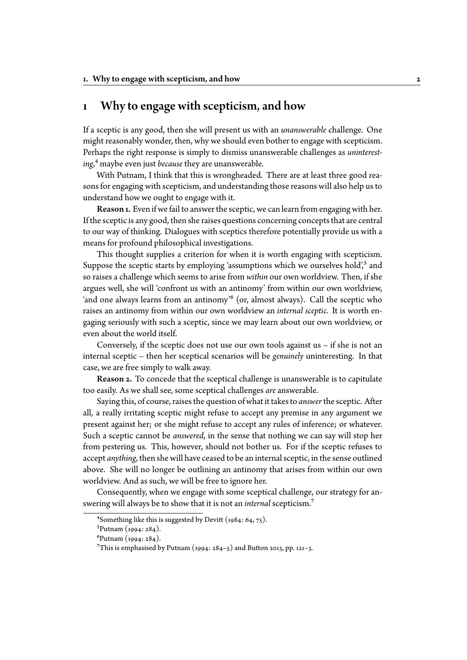#### <span id="page-1-0"></span>Why to engage with scepticism, and how  $\mathbf{1}$

If a sceptic is any good, then she will present us with an *unanswerable* challenge. One might reasonably wonder, then, why we should even bother to engage with scepticism. Perhaps the right response is simply to dismiss unanswerable challenges as uninteresting,<sup>4</sup> maybe even just *because* they are unanswerable.

With Putnam, I think that this is wrongheaded. There are at least three good reasons for engaging with scepticism, and understanding those reasons will also help us to understand how we ought to engage with it.

Reason 1. Even if we fail to answer the sceptic, we can learn from engaging with her. If the sceptic is any good, then she raises questions concerning concepts that are central to our way of thinking. Dialogues with sceptics therefore potentially provide us with a means for profound philosophical investigations.

This thought supplies a criterion for when it is worth engaging with scepticism. Suppose the sceptic starts by employing 'assumptions which we ourselves hold',<sup>5</sup> and so raises a challenge which seems to arise from within our own worldview. Then, if she argues well, she will 'confront us with an antinomy' from within our own worldview, 'and one always learns from an antinomy'<sup>6</sup> (or, almost always). Call the sceptic who raises an antinomy from within our own worldview an internal sceptic. It is worth engaging seriously with such a sceptic, since we may learn about our own worldview, or even about the world itself.

Conversely, if the sceptic does not use our own tools against us  $-$  if she is not an internal sceptic – then her sceptical scenarios will be *genuinely* uninteresting. In that case, we are free simply to walk away.

Reason 2. To concede that the sceptical challenge is unanswerable is to capitulate too easily. As we shall see, some sceptical challenges are answerable.

Saying this, of course, raises the question of what it takes to answer the sceptic. After all, a really irritating sceptic might refuse to accept any premise in any argument we present against her; or she might refuse to accept any rules of inference; or whatever. Such a sceptic cannot be answered, in the sense that nothing we can say will stop her from pestering us. This, however, should not bother us. For if the sceptic refuses to accept anything, then she will have ceased to be an internal sceptic, in the sense outlined above. She will no longer be outlining an antinomy that arises from within our own worldview. And as such, we will be free to ignore her.

Consequently, when we engage with some sceptical challenge, our strategy for answering will always be to show that it is not an *internal* scepticism.<sup>7</sup>

<span id="page-1-1"></span><sup>&</sup>lt;sup>4</sup>Something like this is suggested by Devitt  $(1984: 64, 75)$ .

<span id="page-1-2"></span> ${}^{5}$ Putnam (1994: 284).

<span id="page-1-3"></span><sup>&</sup>lt;sup>6</sup>Putnam (1994: 284).

<span id="page-1-4"></span><sup>&</sup>lt;sup>7</sup>This is emphasised by Putnam (1994:  $284-5$ ) and Button 2013, pp. 121-3.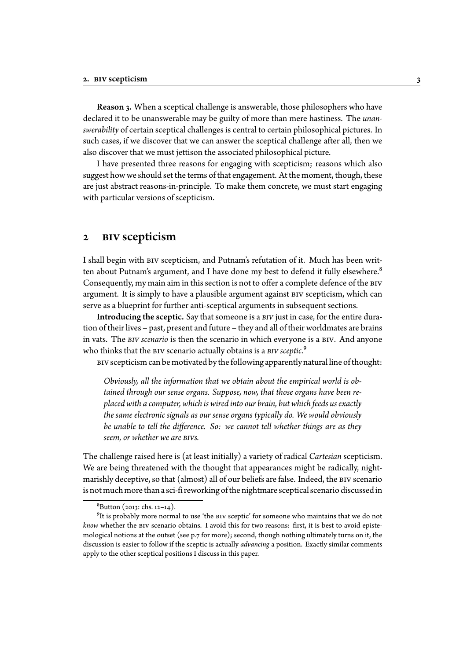Reason 3. When a sceptical challenge is answerable, those philosophers who have declared it to be unanswerable may be guilty of more than mere hastiness. The unanswerability of certain sceptical challenges is central to certain philosophical pictures. In such cases, if we discover that we can answer the sceptical challenge after all, then we also discover that we must jettison the associated philosophical picture.

I have presented three reasons for engaging with scepticism; reasons which also suggest how we should set the terms of that engagement. At the moment, though, these are just abstract reasons-in-principle. To make them concrete, we must start engaging with particular versions of scepticism.

#### <span id="page-2-0"></span>**BIV** scepticism  $\overline{2}$

I shall begin with BIV scepticism, and Putnam's refutation of it. Much has been written about Putnam's argument, and I have done my best to defend it fully elsewhere.<sup>8</sup> Consequently, my main aim in this section is not to offer a complete defence of the BIV argument. It is simply to have a plausible argument against BIV scepticism, which can serve as a blueprint for further anti-sceptical arguments in subsequent sections.

Introducing the sceptic. Say that someone is a BIV just in case, for the entire duration of their lives - past, present and future - they and all of their worldmates are brains in vats. The BIV scenario is then the scenario in which everyone is a BIV. And anyone who thinks that the BIV scenario actually obtains is a BIV sceptic.<sup>9</sup>

BIV scepticism can be motivated by the following apparently natural line of thought:

Obviously, all the information that we obtain about the empirical world is obtained through our sense organs. Suppose, now, that those organs have been replaced with a computer, which is wired into our brain, but which feeds us exactly the same electronic signals as our sense organs typically do. We would obviously be unable to tell the difference. So: we cannot tell whether things are as they seem, or whether we are BIVs.

The challenge raised here is (at least initially) a variety of radical Cartesian scepticism. We are being threatened with the thought that appearances might be radically, nightmarishly deceptive, so that (almost) all of our beliefs are false. Indeed, the BIV scenario is not much more than a sci-fi reworking of the nightmare sceptical scenario discussed in

<span id="page-2-2"></span><span id="page-2-1"></span> ${}^{8}$ Button (2013: chs. 12–14).

<sup>&</sup>lt;sup>9</sup>It is probably more normal to use 'the BIV sceptic' for someone who maintains that we do not know whether the BIV scenario obtains. I avoid this for two reasons: first, it is best to avoid epistemological notions at the outset (see p.7 for more); second, though nothing ultimately turns on it, the discussion is easier to follow if the sceptic is actually advancing a position. Exactly similar comments apply to the other sceptical positions I discuss in this paper.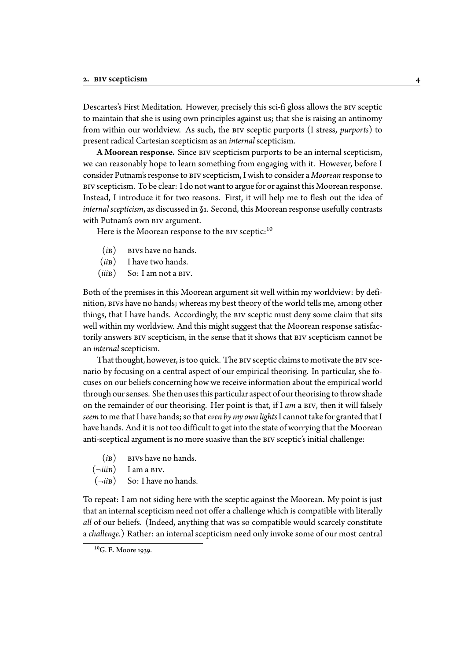Descartes's First Meditation. However, precisely this sci-fi gloss allows the BIV sceptic to maintain that she is using own principles against us; that she is raising an antinomy from within our worldview. As such, the BIV sceptic purports (I stress, purports) to present radical Cartesian scepticism as an internal scepticism.

A Moorean response. Since BIV scepticism purports to be an internal scepticism, we can reasonably hope to learn something from engaging with it. However, before I consider Putnam's response to BIV scepticism, I wish to consider a Moorean response to BIV scepticism. To be clear: I do not want to argue for or against this Moorean response. Instead, I introduce it for two reasons. First, it will help me to flesh out the idea of internal scepticism, as discussed in §1. Second, this Moorean response usefully contrasts with Putnam's own BIV argument.

Here is the Moorean response to the BIV sceptic:<sup>10</sup>

- $(iB)$ BIVs have no hands.
- $(i$ iB) I have two hands.
- $(iiiB)$ So: I am not a BIV.

Both of the premises in this Moorean argument sit well within my worldview: by definition, BIVs have no hands; whereas my best theory of the world tells me, among other things, that I have hands. Accordingly, the BIV sceptic must deny some claim that sits well within my worldview. And this might suggest that the Moorean response satisfactorily answers BIV scepticism, in the sense that it shows that BIV scepticism cannot be an internal scepticism.

That thought, however, is too quick. The BIV sceptic claims to motivate the BIV scenario by focusing on a central aspect of our empirical theorising. In particular, she focuses on our beliefs concerning how we receive information about the empirical world through our senses. She then uses this particular aspect of our theorising to throw shade on the remainder of our theorising. Her point is that, if I am a BIV, then it will falsely seem to me that I have hands; so that even by my own lights I cannot take for granted that I have hands. And it is not too difficult to get into the state of worrying that the Moorean anti-sceptical argument is no more suasive than the BIV sceptic's initial challenge:

- $(iB)$ BIVs have no hands.
- $(\neg ii$ **i**B) Lam a BIV.
- So: I have no hands.  $(-iiB)$

To repeat: I am not siding here with the sceptic against the Moorean. My point is just that an internal scepticism need not offer a challenge which is compatible with literally all of our beliefs. (Indeed, anything that was so compatible would scarcely constitute a challenge.) Rather: an internal scepticism need only invoke some of our most central

<span id="page-3-0"></span><sup>&</sup>lt;sup>10</sup>G. E. Moore 1939.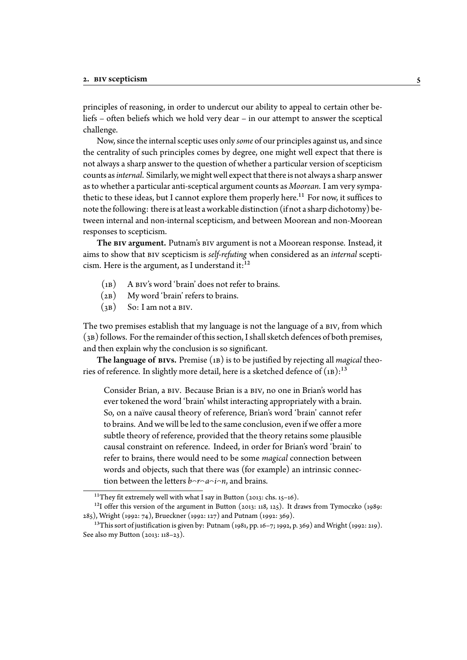principles of reasoning, in order to undercut our ability to appeal to certain other beliefs - often beliefs which we hold very dear - in our attempt to answer the sceptical challenge.

Now, since the internal sceptic uses only some of our principles against us, and since the centrality of such principles comes by degree, one might well expect that there is not always a sharp answer to the question of whether a particular version of scepticism counts as internal. Similarly, we might well expect that there is not always a sharp answer as to whether a particular anti-sceptical argument counts as Moorean. I am very sympathetic to these ideas, but I cannot explore them properly here.<sup>11</sup> For now, it suffices to note the following: there is at least a workable distinction (if not a sharp dichotomy) between internal and non-internal scepticism, and between Moorean and non-Moorean responses to scepticism.

The BIV argument. Putnam's BIV argument is not a Moorean response. Instead, it aims to show that BIV scepticism is self-refuting when considered as an internal scepticism. Here is the argument, as I understand it:<sup>12</sup>

- A BIV's word 'brain' does not refer to brains.  $(1B)$
- $(2B)$ My word 'brain' refers to brains.
- $(3B)$ So: I am not a BIV.

The two premises establish that my language is not the language of a BIV, from which (3B) follows. For the remainder of this section, I shall sketch defences of both premises, and then explain why the conclusion is so significant.

The language of BIVs. Premise  $(n)$  is to be justified by rejecting all *magical* theories of reference. In slightly more detail, here is a sketched defence of  $(nB)$ .<sup>13</sup>

Consider Brian, a BIV. Because Brian is a BIV, no one in Brian's world has ever tokened the word 'brain' whilst interacting appropriately with a brain. So, on a naïve causal theory of reference, Brian's word 'brain' cannot refer to brains. And we will be led to the same conclusion, even if we offer a more subtle theory of reference, provided that the theory retains some plausible causal constraint on reference. Indeed, in order for Brian's word 'brain' to refer to brains, there would need to be some magical connection between words and objects, such that there was (for example) an intrinsic connection between the letters  $b \neg r \neg a \neg i \neg n$ , and brains.

<span id="page-4-1"></span><span id="page-4-0"></span><sup>&</sup>lt;sup>11</sup>They fit extremely well with what I say in Button (2013: chs. 15-16).

<sup>&</sup>lt;sup>12</sup>I offer this version of the argument in Button (2013: 118, 125). It draws from Tymoczko (1989: 285), Wright (1992: 74), Brueckner (1992: 127) and Putnam (1992: 369).

<span id="page-4-2"></span><sup>&</sup>lt;sup>13</sup>This sort of justification is given by: Putnam (1981, pp. 16–7; 1992, p. 369) and Wright (1992: 219). See also my Button (2013: 118-23).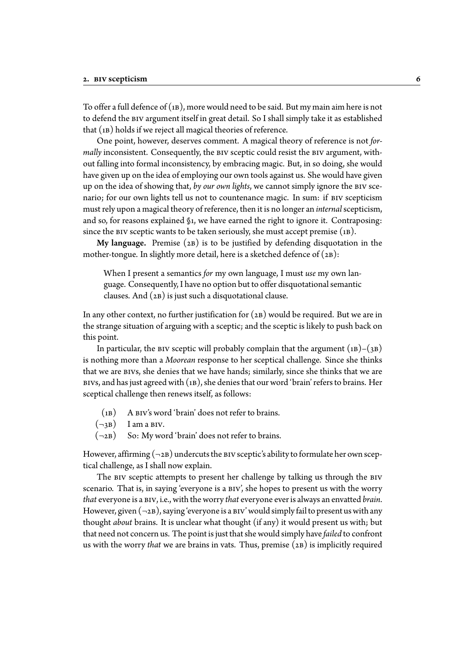To offer a full defence of  $(1B)$ , more would need to be said. But my main aim here is not to defend the BIV argument itself in great detail. So I shall simply take it as established that (1B) holds if we reject all magical theories of reference.

One point, however, deserves comment. A magical theory of reference is not formally inconsistent. Consequently, the BIV sceptic could resist the BIV argument, without falling into formal inconsistency, by embracing magic. But, in so doing, she would have given up on the idea of employing our own tools against us. She would have given up on the idea of showing that, by our own lights, we cannot simply ignore the BIV scenario; for our own lights tell us not to countenance magic. In sum: if BIV scepticism must rely upon a magical theory of reference, then it is no longer an *internal* scepticism, and so, for reasons explained §1, we have earned the right to ignore it. Contraposing: since the BIV sceptic wants to be taken seriously, she must accept premise  $(nB)$ .

My language. Premise  $(2B)$  is to be justified by defending disquotation in the mother-tongue. In slightly more detail, here is a sketched defence of  $(2B)$ :

When I present a semantics for my own language, I must use my own language. Consequently, I have no option but to offer disquotational semantic clauses. And (2B) is just such a disquotational clause.

In any other context, no further justification for  $(2B)$  would be required. But we are in the strange situation of arguing with a sceptic; and the sceptic is likely to push back on this point.

In particular, the BIV sceptic will probably complain that the argument  $(1B)$ – $(3B)$ is nothing more than a Moorean response to her sceptical challenge. Since she thinks that we are BIVs, she denies that we have hands; similarly, since she thinks that we are BIVs, and has just agreed with (1B), she denies that our word 'brain' refers to brains. Her sceptical challenge then renews itself, as follows:

- A BIV's word 'brain' does not refer to brains.  $(1B)$
- $(\neg$ 3B) I am a BIV.
- $(\neg$ <sub>2B</sub> $)$ So: My word 'brain' does not refer to brains.

However, affirming  $(\neg$ 2B) undercuts the BIV sceptic's ability to formulate her own sceptical challenge, as I shall now explain.

The BIV sceptic attempts to present her challenge by talking us through the BIV scenario. That is, in saying 'everyone is a BIV', she hopes to present us with the worry that everyone is a BIV, i.e., with the worry that everyone ever is always an envatted brain. However, given  $(-2B)$ , saying 'everyone is a BIV' would simply fail to present us with any thought *about* brains. It is unclear what thought (if any) it would present us with; but that need not concern us. The point is just that she would simply have failed to confront us with the worry *that* we are brains in vats. Thus, premise  $(2B)$  is implicitly required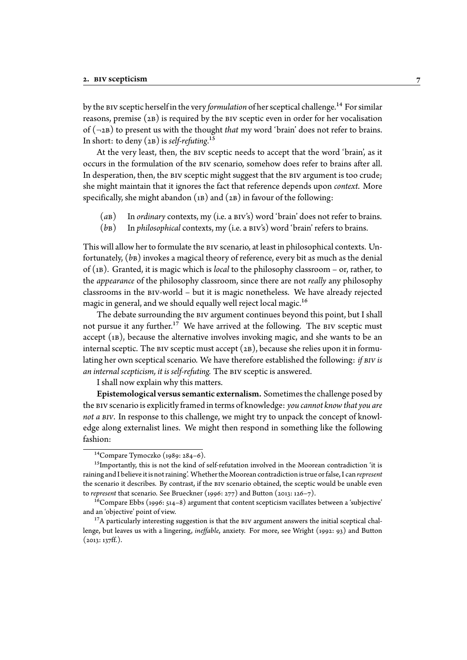by the BIV sceptic herself in the very formulation of her sceptical challenge.<sup>14</sup> For similar reasons, premise  $(2B)$  is required by the BIV sceptic even in order for her vocalisation of  $(\neg$ 2B) to present us with the thought *that* my word 'brain' does not refer to brains. In short: to deny  $(2B)$  is self-refuting.<sup>15</sup>

At the very least, then, the BIV sceptic needs to accept that the word 'brain', as it occurs in the formulation of the BIV scenario, somehow does refer to brains after all. In desperation, then, the BIV sceptic might suggest that the BIV argument is too crude; she might maintain that it ignores the fact that reference depends upon context. More specifically, she might abandon  $(1B)$  and  $(2B)$  in favour of the following:

- In ordinary contexts, my (i.e. a BIV's) word 'brain' does not refer to brains.  $(aB)$
- In philosophical contexts, my (i.e. a BIV's) word 'brain' refers to brains.  $(b_B)$

This will allow her to formulate the BIV scenario, at least in philosophical contexts. Unfortunately,  $(b)$  invokes a magical theory of reference, every bit as much as the denial of (1B). Granted, it is magic which is local to the philosophy classroom – or, rather, to the *appearance* of the philosophy classroom, since there are not *really* any philosophy classrooms in the BIV-world - but it is magic nonetheless. We have already rejected magic in general, and we should equally well reject local magic.<sup>16</sup>

The debate surrounding the BIV argument continues beyond this point, but I shall not pursue it any further.<sup>17</sup> We have arrived at the following. The BIV sceptic must accept (1B), because the alternative involves invoking magic, and she wants to be an internal sceptic. The BIV sceptic must accept  $(2B)$ , because she relies upon it in formulating her own sceptical scenario. We have therefore established the following: if BIV is an internal scepticism, it is self-refuting. The BIV sceptic is answered.

I shall now explain why this matters.

Epistemological versus semantic externalism. Sometimes the challenge posed by the BIV scenario is explicitly framed in terms of knowledge: you cannot know that you are not a BIV. In response to this challenge, we might try to unpack the concept of knowledge along externalist lines. We might then respond in something like the following fashion:

<span id="page-6-1"></span><span id="page-6-0"></span><sup>&</sup>lt;sup>14</sup>Compare Tymoczko (1989: 284-6).

<sup>&</sup>lt;sup>15</sup>Importantly, this is not the kind of self-refutation involved in the Moorean contradiction 'it is raining and I believe it is not raining'. Whether the Moorean contradiction is true or false, I can represent the scenario it describes. By contrast, if the BIV scenario obtained, the sceptic would be unable even to represent that scenario. See Brueckner (1996: 277) and Button (2013: 126-7).

<span id="page-6-2"></span><sup>&</sup>lt;sup>16</sup>Compare Ebbs (1996: 514-8) argument that content scepticism vacillates between a 'subjective' and an 'objective' point of view.

<span id="page-6-3"></span><sup>&</sup>lt;sup>17</sup>A particularly interesting suggestion is that the BIV argument answers the initial sceptical challenge, but leaves us with a lingering, *ineffable*, anxiety. For more, see Wright (1992: 93) and Button  $(2013:137ff.).$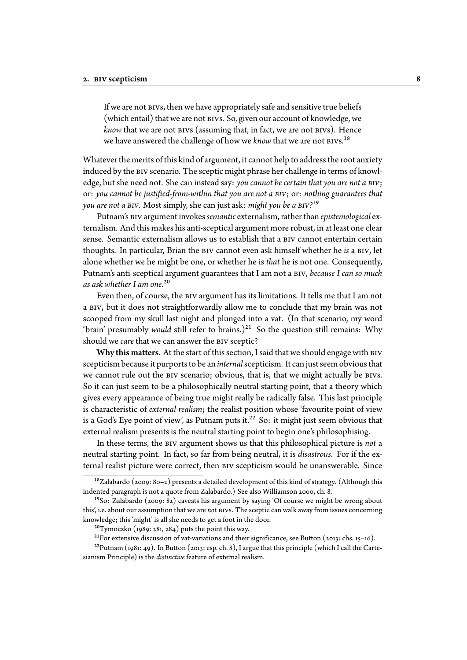If we are not BIVs, then we have appropriately safe and sensitive true beliefs (which entail) that we are not BIVs. So, given our account of knowledge, we know that we are not BIVs (assuming that, in fact, we are not BIVs). Hence we have answered the challenge of how we know that we are not BIVs.<sup>18</sup>

Whatever the merits of this kind of argument, it cannot help to address the root anxiety induced by the BIV scenario. The sceptic might phrase her challenge in terms of knowledge, but she need not. She can instead say: you cannot be certain that you are not a BIV: or: you cannot be justified-from-within that you are not a BIV; or: nothing guarantees that you are not a BIV. Most simply, she can just ask: might you be a BIV?<sup>19</sup>

Putnam's BIV argument invokes semantic externalism, rather than epistemological externalism. And this makes his anti-sceptical argument more robust, in at least one clear sense. Semantic externalism allows us to establish that a BIV cannot entertain certain thoughts. In particular, Brian the BIV cannot even ask himself whether he is a BIV, let alone whether we he might be one, or whether he is that he is not one. Consequently, Putnam's anti-sceptical argument guarantees that I am not a BIV, because I can so much as ask whether I am one.<sup>20</sup>

Even then, of course, the BIV argument has its limitations. It tells me that I am not a BIV, but it does not straightforwardly allow me to conclude that my brain was not scooped from my skull last night and plunged into a vat. (In that scenario, my word 'brain' presumably would still refer to brains.)<sup>21</sup> So the question still remains: Why should we care that we can answer the BIV sceptic?

Why this matters. At the start of this section, I said that we should engage with BIV scepticism because it purports to be an internal scepticism. It can just seem obvious that we cannot rule out the BIV scenario; obvious, that is, that we might actually be BIVs. So it can just seem to be a philosophically neutral starting point, that a theory which gives every appearance of being true might really be radically false. This last principle is characteristic of external realism; the realist position whose 'favourite point of view is a God's Eye point of view', as Putnam puts it.<sup>22</sup> So: it might just seem obvious that external realism presents is the neutral starting point to begin one's philosophising.

In these terms, the BIV argument shows us that this philosophical picture is not a neutral starting point. In fact, so far from being neutral, it is *disastrous*. For if the external realist picture were correct, then BIV scepticism would be unanswerable. Since

<span id="page-7-0"></span><sup>&</sup>lt;sup>18</sup>Zalabardo (2009: 80-2) presents a detailed development of this kind of strategy. (Although this indented paragraph is not a quote from Zalabardo.) See also Williamson 2000, ch. 8.

<span id="page-7-1"></span><sup>&</sup>lt;sup>19</sup>So: Zalabardo (2009: 82) caveats his argument by saying 'Of course we might be wrong about this', i.e. about our assumption that we are not BIVS. The sceptic can walk away from issues concerning knowledge; this 'might' is all she needs to get a foot in the door.

<span id="page-7-2"></span> $20$ Tymoczko (1989: 281, 284) puts the point this way.

<span id="page-7-4"></span><span id="page-7-3"></span><sup>&</sup>lt;sup>21</sup>For extensive discussion of vat-variations and their significance, see Button (2013: chs. 15-16).

<sup>&</sup>lt;sup>22</sup>Putnam (1981: 49). In Button (2013: esp. ch. 8), I argue that this principle (which I call the Cartesianism Principle) is the *distinctive* feature of external realism.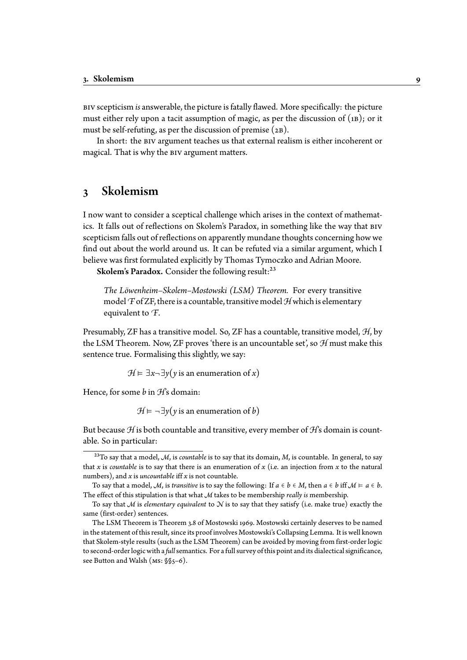BIV scepticism is answerable, the picture is fatally flawed. More specifically: the picture must either rely upon a tacit assumption of magic, as per the discussion of  $(1B)$ ; or it must be self-refuting, as per the discussion of premise (2B).

In short: the BIV argument teaches us that external realism is either incoherent or magical. That is why the BIV argument matters.

#### <span id="page-8-0"></span>Skolemism  $\overline{\mathbf{3}}$

I now want to consider a sceptical challenge which arises in the context of mathematics. It falls out of reflections on Skolem's Paradox, in something like the way that BIV scepticism falls out of reflections on apparently mundane thoughts concerning how we find out about the world around us. It can be refuted via a similar argument, which I believe was first formulated explicitly by Thomas Tymoczko and Adrian Moore.

Skolem's Paradox. Consider the following result:<sup>23</sup>

The Löwenheim-Skolem-Mostowski (LSM) Theorem. For every transitive model  $\mathcal F$  of ZF, there is a countable, transitive model  $\mathcal H$  which is elementary equivalent to  $T$ .

Presumably, ZF has a transitive model. So, ZF has a countable, transitive model, H, by the LSM Theorem. Now, ZF proves 'there is an uncountable set', so  $H$  must make this sentence true. Formalising this slightly, we say:

 $\mathcal{H} \models \exists x \neg \exists y (y \text{ is an enumeration of } x)$ 

Hence, for some  $b$  in  $H$ 's domain:

 $\mathcal{H} \models \neg \exists y (y \text{ is an enumeration of } b)$ 

But because  $H$  is both countable and transitive, every member of  $H$ 's domain is countable. So in particular:

To say that a model, M, is *transitive* is to say the following: If  $a \in b \in M$ , then  $a \in b$  iff  $\mathcal{M} \models a \in b$ . The effect of this stipulation is that what  $M$  takes to be membership really is membership.

<span id="page-8-1"></span><sup>&</sup>lt;sup>23</sup>To say that a model,  $M$ , is countable is to say that its domain,  $M$ , is countable. In general, to say that x is countable is to say that there is an enumeration of x (i.e. an injection from x to the natural numbers), and  $x$  is *uncountable* iff  $x$  is not countable.

To say that M is elementary equivalent to  $\mathcal N$  is to say that they satisfy (i.e. make true) exactly the same (first-order) sentences.

The LSM Theorem is Theorem 3.8 of Mostowski 1969. Mostowski certainly deserves to be named in the statement of this result, since its proof involves Mostowski's Collapsing Lemma. It is well known that Skolem-style results (such as the LSM Theorem) can be avoided by moving from first-order logic to second-order logic with a full semantics. For a full survey of this point and its dialectical significance, see Button and Walsh (Ms: §§5-6).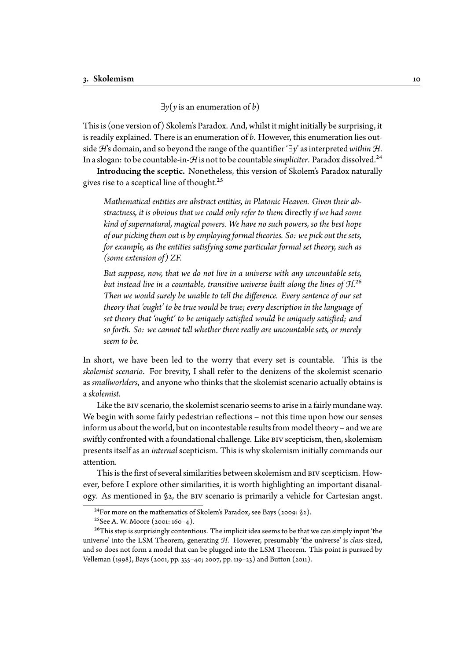### $\exists y (y \text{ is an enumeration of } b)$

This is (one version of) Skolem's Paradox. And, whilst it might initially be surprising, it is readily explained. There is an enumeration of  $b$ . However, this enumeration lies outside  $\mathcal{H}$ s domain, and so beyond the range of the quantifier ' $\exists y$ ' as interpreted within  $\mathcal{H}$ . In a slogan: to be countable-in- $\mathcal H$  is not to be countable *simpliciter*. Paradox dissolved.<sup>24</sup>

Introducing the sceptic. Nonetheless, this version of Skolem's Paradox naturally gives rise to a sceptical line of thought.<sup>25</sup>

Mathematical entities are abstract entities, in Platonic Heaven. Given their abstractness, it is obvious that we could only refer to them directly if we had some kind of supernatural, magical powers. We have no such powers, so the best hope of our picking them out is by employing formal theories. So: we pick out the sets, for example, as the entities satisfying some particular formal set theory, such as (some extension of)  $ZF$ .

But suppose, now, that we do not live in a universe with any uncountable sets, but instead live in a countable, transitive universe built along the lines of  $H^{26}$ Then we would surely be unable to tell the difference. Every sentence of our set theory that 'ought' to be true would be true; every description in the language of set theory that 'ought' to be uniquely satisfied would be uniquely satisfied; and so forth. So: we cannot tell whether there really are uncountable sets, or merely seem to be.

In short, we have been led to the worry that every set is countable. This is the skolemist scenario. For brevity, I shall refer to the denizens of the skolemist scenario as smallworlders, and anyone who thinks that the skolemist scenario actually obtains is a skolemist.

Like the BIV scenario, the skolemist scenario seems to arise in a fairly mundane way. We begin with some fairly pedestrian reflections – not this time upon how our senses inform us about the world, but on incontestable results from model theory - and we are swiftly confronted with a foundational challenge. Like BIV scepticism, then, skolemism presents itself as an internal scepticism. This is why skolemism initially commands our attention.

This is the first of several similarities between skolemism and BIV scepticism. However, before I explore other similarities, it is worth highlighting an important disanalogy. As mentioned in §2, the BIV scenario is primarily a vehicle for Cartesian angst.

<span id="page-9-2"></span><span id="page-9-1"></span><sup>25</sup>See A. W. Moore (2001: 160-4).

<span id="page-9-0"></span><sup>&</sup>lt;sup>24</sup>For more on the mathematics of Skolem's Paradox, see Bays (2009: §2).

<sup>&</sup>lt;sup>26</sup>This step is surprisingly contentious. The implicit idea seems to be that we can simply input 'the universe' into the LSM Theorem, generating H. However, presumably 'the universe' is class-sized, and so does not form a model that can be plugged into the LSM Theorem. This point is pursued by Velleman (1998), Bays (2001, pp. 335-40; 2007, pp. 119-23) and Button (2011).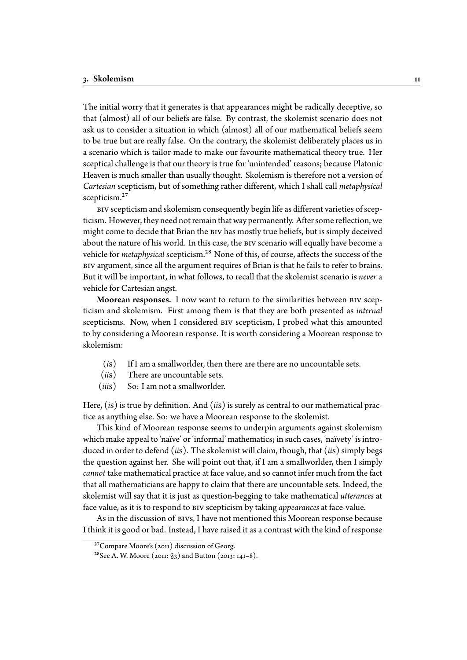### 3. Skolemism

The initial worry that it generates is that appearances might be radically deceptive, so that (almost) all of our beliefs are false. By contrast, the skolemist scenario does not ask us to consider a situation in which (almost) all of our mathematical beliefs seem to be true but are really false. On the contrary, the skolemist deliberately places us in a scenario which is tailor-made to make our favourite mathematical theory true. Her sceptical challenge is that our theory is true for 'unintended' reasons; because Platonic Heaven is much smaller than usually thought. Skolemism is therefore not a version of Cartesian scepticism, but of something rather different, which I shall call metaphysical scepticism.<sup>27</sup>

BIV scepticism and skolemism consequently begin life as different varieties of scepticism. However, they need not remain that way permanently. After some reflection, we might come to decide that Brian the BIV has mostly true beliefs, but is simply deceived about the nature of his world. In this case, the BIV scenario will equally have become a vehicle for *metaphysical* scepticism.<sup>28</sup> None of this, of course, affects the success of the BIV argument, since all the argument requires of Brian is that he fails to refer to brains. But it will be important, in what follows, to recall that the skolemist scenario is never a vehicle for Cartesian angst.

Moorean responses. I now want to return to the similarities between BIV scepticism and skolemism. First among them is that they are both presented as *internal* scepticisms. Now, when I considered BIV scepticism, I probed what this amounted to by considering a Moorean response. It is worth considering a Moorean response to skolemism:

- $(is)$ If I am a smallworlder, then there are there are no uncountable sets.
- $(iis)$ There are uncountable sets.
- $(iiiS)$ So: I am not a smallworlder.

Here,  $(is)$  is true by definition. And  $(iis)$  is surely as central to our mathematical practice as anything else. So: we have a Moorean response to the skolemist.

This kind of Moorean response seems to underpin arguments against skolemism which make appeal to 'naïve' or 'informal' mathematics; in such cases, 'naïvety' is introduced in order to defend (iis). The skolemist will claim, though, that (iis) simply begs the question against her. She will point out that, if I am a smallworlder, then I simply cannot take mathematical practice at face value, and so cannot infer much from the fact that all mathematicians are happy to claim that there are uncountable sets. Indeed, the skolemist will say that it is just as question-begging to take mathematical *utterances* at face value, as it is to respond to BIV scepticism by taking appearances at face-value.

As in the discussion of BIVs, I have not mentioned this Moorean response because I think it is good or bad. Instead, I have raised it as a contrast with the kind of response

<span id="page-10-0"></span><sup>&</sup>lt;sup>27</sup>Compare Moore's (2011) discussion of Georg.

<span id="page-10-1"></span><sup>&</sup>lt;sup>28</sup>See A. W. Moore (2011:  $\S$ 3) and Button (2013: 141-8).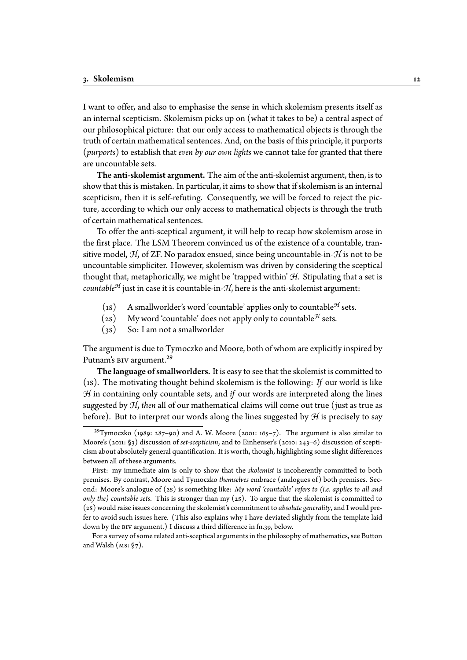I want to offer, and also to emphasise the sense in which skolemism presents itself as an internal scepticism. Skolemism picks up on (what it takes to be) a central aspect of our philosophical picture: that our only access to mathematical objects is through the truth of certain mathematical sentences. And, on the basis of this principle, it purports (purports) to establish that even by our own lights we cannot take for granted that there are uncountable sets.

The anti-skolemist argument. The aim of the anti-skolemist argument, then, is to show that this is mistaken. In particular, it aims to show that if skolemism is an internal scepticism, then it is self-refuting. Consequently, we will be forced to reject the picture, according to which our only access to mathematical objects is through the truth of certain mathematical sentences.

To offer the anti-sceptical argument, it will help to recap how skolemism arose in the first place. The LSM Theorem convinced us of the existence of a countable, transitive model,  $H$ , of ZF. No paradox ensued, since being uncountable-in- $H$  is not to be uncountable simpliciter. However, skolemism was driven by considering the sceptical thought that, metaphorically, we might be 'trapped within'  $H$ . Stipulating that a set is *countable*<sup> $H$ </sup> just in case it is countable-in- $H$ , here is the anti-skolemist argument:

- A smallworlder's word 'countable' applies only to countable  $H$  sets.  $(1s)$
- My word 'countable' does not apply only to countable  $H$  sets.  $(2s)$
- $(3s)$ So: I am not a smallworlder

The argument is due to Tymoczko and Moore, both of whom are explicitly inspired by Putnam's BIV argument.<sup>29</sup>

The language of smallworlders. It is easy to see that the skolemist is committed to (1s). The motivating thought behind skolemism is the following: If our world is like  $H$  in containing only countable sets, and if our words are interpreted along the lines suggested by  $H$ , then all of our mathematical claims will come out true (just as true as before). But to interpret our words along the lines suggested by  $H$  is precisely to say

<span id="page-11-0"></span><sup>&</sup>lt;sup>29</sup>Tymoczko (1989: 287-90) and A. W. Moore (2001: 165-7). The argument is also similar to Moore's (2011: §3) discussion of set-scepticism, and to Einheuser's (2010: 243–6) discussion of scepticism about absolutely general quantification. It is worth, though, highlighting some slight differences between all of these arguments.

First: my immediate aim is only to show that the skolemist is incoherently committed to both premises. By contrast, Moore and Tymoczko themselves embrace (analogues of) both premises. Second: Moore's analogue of (2s) is something like: My word 'countable' refers to (i.e. applies to all and only the) countable sets. This is stronger than my  $(zs)$ . To argue that the skolemist is committed to (2s) would raise issues concerning the skolemist's commitment to *absolute generality*, and I would prefer to avoid such issues here. (This also explains why I have deviated slightly from the template laid down by the BIV argument.) I discuss a third difference in fn.39, below.

For a survey of some related anti-sceptical arguments in the philosophy of mathematics, see Button and Walsh ( $ms:$   $\S$ 7).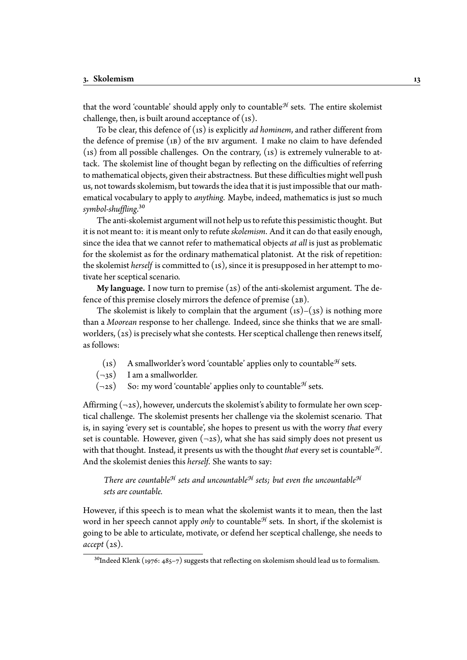### 3. Skolemism

that the word 'countable' should apply only to countable  $H$  sets. The entire skolemist challenge, then, is built around acceptance of  $(1s)$ .

To be clear, this defence of  $(1s)$  is explicitly *ad hominem*, and rather different from the defence of premise (1B) of the BIV argument. I make no claim to have defended (1s) from all possible challenges. On the contrary, (1s) is extremely vulnerable to attack. The skolemist line of thought began by reflecting on the difficulties of referring to mathematical objects, given their abstractness. But these difficulties might well push us, not towards skolemism, but towards the idea that it is just impossible that our mathematical vocabulary to apply to *anything*. Maybe, indeed, mathematics is just so much symbol-shuffling.<sup>30</sup>

The anti-skolemist argument will not help us to refute this pessimistic thought. But it is not meant to: it is meant only to refute *skolemism*. And it can do that easily enough, since the idea that we cannot refer to mathematical objects at all is just as problematic for the skolemist as for the ordinary mathematical platonist. At the risk of repetition: the skolemist herself is committed to  $(1s)$ , since it is presupposed in her attempt to motivate her sceptical scenario.

My language. I now turn to premise  $(2s)$  of the anti-skolemist argument. The defence of this premise closely mirrors the defence of premise (2B).

The skolemist is likely to complain that the argument  $(1s)$ – $(3s)$  is nothing more than a Moorean response to her challenge. Indeed, since she thinks that we are smallworlders, (2s) is precisely what she contests. Her sceptical challenge then renews itself, as follows:

- $(s)$ A smallworlder's word 'countable' applies only to countable  $H$  sets.
- $(-3s)$ I am a smallworlder.
- $(\neg$ 2S) So: my word 'countable' applies only to countable  $\mathcal{H}$  sets.

Affirming  $(-2s)$ , however, undercuts the skolemist's ability to formulate her own sceptical challenge. The skolemist presents her challenge via the skolemist scenario. That is, in saying 'every set is countable', she hopes to present us with the worry that every set is countable. However, given  $(\neg zs)$ , what she has said simply does not present us with that thought. Instead, it presents us with the thought that every set is countable  $H$ . And the skolemist denies this herself. She wants to say:

## There are countable<sup> $H$ </sup> sets and uncountable<sup> $H$ </sup> sets; but even the uncountable<sup> $H$ </sup> sets are countable

However, if this speech is to mean what the skolemist wants it to mean, then the last word in her speech cannot apply *only* to countable<sup> $H$ </sup> sets. In short, if the skolemist is going to be able to articulate, motivate, or defend her sceptical challenge, she needs to  $accept(zs)$ .

<span id="page-12-0"></span> $30$ Indeed Klenk (1976: 485-7) suggests that reflecting on skolemism should lead us to formalism.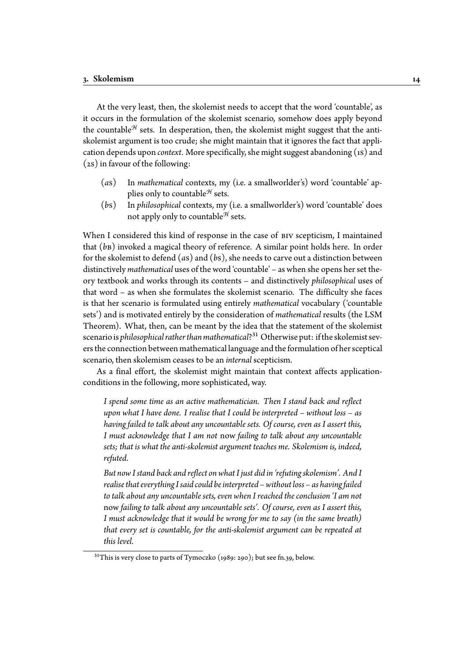At the very least, then, the skolemist needs to accept that the word 'countable', as it occurs in the formulation of the skolemist scenario, somehow does apply beyond the countable  $\mathcal{H}$  sets. In desperation, then, the skolemist might suggest that the antiskolemist argument is too crude; she might maintain that it ignores the fact that application depends upon *context*. More specifically, she might suggest abandoning (1s) and  $(2s)$  in favour of the following:

- In mathematical contexts, my (i.e. a smallworlder's) word 'countable' ap- $(as)$ plies only to countable  $\mathcal{H}$  sets.
- In philosophical contexts, my (i.e. a smallworlder's) word 'countable' does  $(bs)$ not apply only to countable  $\mathcal H$  sets.

When I considered this kind of response in the case of BIV scepticism, I maintained that  $(b)$  invoked a magical theory of reference. A similar point holds here. In order for the skolemist to defend (as) and (bs), she needs to carve out a distinction between distinctively mathematical uses of the word 'countable' - as when she opens her set theory textbook and works through its contents - and distinctively philosophical uses of that word - as when she formulates the skolemist scenario. The difficulty she faces is that her scenario is formulated using entirely *mathematical* vocabulary ('countable sets') and is motivated entirely by the consideration of *mathematical* results (the LSM Theorem). What, then, can be meant by the idea that the statement of the skolemist scenario is philosophical rather than mathematical?<sup>31</sup> Otherwise put: if the skolemist severs the connection between mathematical language and the formulation of her sceptical scenario, then skolemism ceases to be an *internal* scepticism.

As a final effort, the skolemist might maintain that context affects applicationconditions in the following, more sophisticated, way.

I spend some time as an active mathematician. Then I stand back and reflect upon what I have done. I realise that I could be interpreted – without loss – as having failed to talk about any uncountable sets. Of course, even as I assert this, I must acknowledge that I am not now failing to talk about any uncountable sets; that is what the anti-skolemist argument teaches me. Skolemism is, indeed, refuted.

But now I stand back and reflect on what I just did in 'refuting skolemism'. And I realise that everything I said could be interpreted - without loss - as having failed to talk about any uncountable sets, even when I reached the conclusion 'I am not now failing to talk about any uncountable sets'. Of course, even as I assert this, I must acknowledge that it would be wrong for me to say (in the same breath) that every set is countable, for the anti-skolemist argument can be repeated at this level.

<span id="page-13-0"></span><sup>&</sup>lt;sup>31</sup>This is very close to parts of Tymoczko (1989: 290); but see fn.39, below.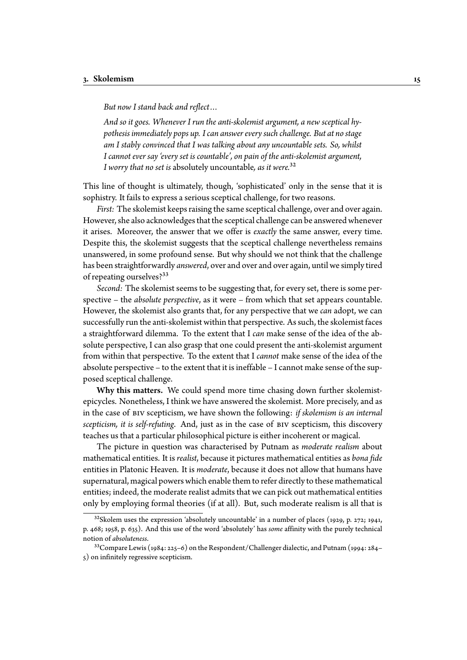But now I stand back and reflect...

And so it goes. Whenever I run the anti-skolemist argument, a new sceptical hypothesis immediately pops up. I can answer every such challenge. But at no stage am I stably convinced that I was talking about any uncountable sets. So, whilst I cannot ever say 'every set is countable', on pain of the anti-skolemist argument, I worry that no set is absolutely uncountable, as it were.<sup>32</sup>

This line of thought is ultimately, though, 'sophisticated' only in the sense that it is sophistry. It fails to express a serious sceptical challenge, for two reasons.

First: The skolemist keeps raising the same sceptical challenge, over and over again. However, she also acknowledges that the sceptical challenge can be answered whenever it arises. Moreover, the answer that we offer is exactly the same answer, every time. Despite this, the skolemist suggests that the sceptical challenge nevertheless remains unanswered, in some profound sense. But why should we not think that the challenge has been straightforwardly *answered*, over and over and over again, until we simply tired of repeating ourselves?<sup>33</sup>

Second: The skolemist seems to be suggesting that, for every set, there is some perspective - the *absolute perspective*, as it were - from which that set appears countable. However, the skolemist also grants that, for any perspective that we *can* adopt, we can successfully run the anti-skolemist within that perspective. As such, the skolemist faces a straightforward dilemma. To the extent that I can make sense of the idea of the absolute perspective, I can also grasp that one could present the anti-skolemist argument from within that perspective. To the extent that I cannot make sense of the idea of the absolute perspective – to the extent that it is ineffable – I cannot make sense of the supposed sceptical challenge.

Why this matters. We could spend more time chasing down further skolemistepicycles. Nonetheless, I think we have answered the skolemist. More precisely, and as in the case of BIV scepticism, we have shown the following: if skolemism is an internal scepticism, it is self-refuting. And, just as in the case of BIV scepticism, this discovery teaches us that a particular philosophical picture is either incoherent or magical.

The picture in question was characterised by Putnam as moderate realism about mathematical entities. It is realist, because it pictures mathematical entities as bona fide entities in Platonic Heaven. It is moderate, because it does not allow that humans have supernatural, magical powers which enable them to refer directly to these mathematical entities; indeed, the moderate realist admits that we can pick out mathematical entities only by employing formal theories (if at all). But, such moderate realism is all that is

<span id="page-14-0"></span><sup>&</sup>lt;sup>32</sup>Skolem uses the expression 'absolutely uncountable' in a number of places (1929, p. 272; 1941, p. 468; 1958, p. 635). And this use of the word 'absolutely' has some affinity with the purely technical notion of absoluteness.

<span id="page-14-1"></span> $33$ Compare Lewis (1984: 225-6) on the Respondent/Challenger dialectic, and Putnam (1994: 284– 5) on infinitely regressive scepticism.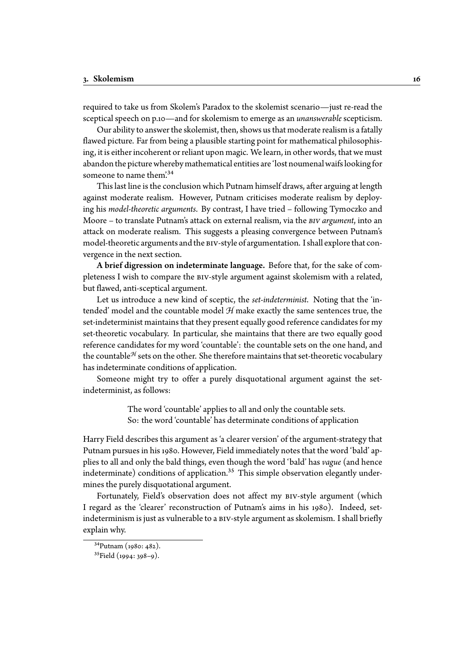### 3. Skolemism

required to take us from Skolem's Paradox to the skolemist scenario-just re-read the sceptical speech on p.10—and for skolemism to emerge as an *unanswerable* scepticism.

Our ability to answer the skolemist, then, shows us that moderate realism is a fatally flawed picture. Far from being a plausible starting point for mathematical philosophising, it is either incoherent or reliant upon magic. We learn, in other words, that we must abandon the picture whereby mathematical entities are 'lost noumenal waifs looking for someone to name them<sup>34</sup>

This last line is the conclusion which Putnam himself draws, after arguing at length against moderate realism. However, Putnam criticises moderate realism by deploying his model-theoretic arguments. By contrast, I have tried - following Tymoczko and Moore - to translate Putnam's attack on external realism, via the BIV argument, into an attack on moderate realism. This suggests a pleasing convergence between Putnam's model-theoretic arguments and the BIV-style of argumentation. I shall explore that convergence in the next section.

A brief digression on indeterminate language. Before that, for the sake of completeness I wish to compare the BIV-style argument against skolemism with a related, but flawed, anti-sceptical argument.

Let us introduce a new kind of sceptic, the set-indeterminist. Noting that the 'intended' model and the countable model  $H$  make exactly the same sentences true, the set-indeterminist maintains that they present equally good reference candidates for my set-theoretic vocabulary. In particular, she maintains that there are two equally good reference candidates for my word 'countable': the countable sets on the one hand, and the countable  $H$  sets on the other. She therefore maintains that set-theoretic vocabulary has indeterminate conditions of application.

Someone might try to offer a purely disquotational argument against the setindeterminist, as follows:

> The word 'countable' applies to all and only the countable sets. So: the word 'countable' has determinate conditions of application

Harry Field describes this argument as 'a clearer version' of the argument-strategy that Putnam pursues in his 1980. However, Field immediately notes that the word 'bald' applies to all and only the bald things, even though the word 'bald' has vague (and hence indeterminate) conditions of application.<sup>35</sup> This simple observation elegantly undermines the purely disquotational argument.

Fortunately, Field's observation does not affect my BIV-style argument (which I regard as the 'clearer' reconstruction of Putnam's aims in his 1980). Indeed, setindeterminism is just as vulnerable to a BIV-style argument as skolemism. I shall briefly explain why.

<span id="page-15-0"></span> $34$ Putnam (1980: 482).

<span id="page-15-1"></span><sup>&</sup>lt;sup>35</sup>Field (1994: 398-9).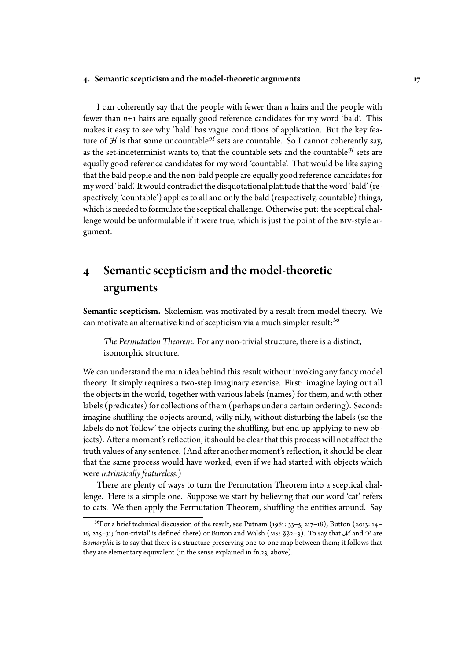I can coherently say that the people with fewer than  $n$  hairs and the people with fewer than  $n+1$  hairs are equally good reference candidates for my word 'bald'. This makes it easy to see why 'bald' has vague conditions of application. But the key feature of  $H$  is that some uncountable  $H$  sets are countable. So I cannot coherently say, as the set-indeterminist wants to, that the countable sets and the countable  $H$  sets are equally good reference candidates for my word 'countable'. That would be like saying that the bald people and the non-bald people are equally good reference candidates for my word 'bald'. It would contradict the disquotational platitude that the word 'bald' (respectively, 'countable') applies to all and only the bald (respectively, countable) things, which is needed to formulate the sceptical challenge. Otherwise put: the sceptical challenge would be unformulable if it were true, which is just the point of the BIV-style argument.

## <span id="page-16-0"></span>Semantic scepticism and the model-theoretic  $\overline{\mathbf{4}}$ arguments

Semantic scepticism. Skolemism was motivated by a result from model theory. We can motivate an alternative kind of scepticism via a much simpler result:<sup>36</sup>

The Permutation Theorem. For any non-trivial structure, there is a distinct, isomorphic structure.

We can understand the main idea behind this result without invoking any fancy model theory. It simply requires a two-step imaginary exercise. First: imagine laying out all the objects in the world, together with various labels (names) for them, and with other labels (predicates) for collections of them (perhaps under a certain ordering). Second: imagine shuffling the objects around, willy nilly, without disturbing the labels (so the labels do not 'follow' the objects during the shuffling, but end up applying to new objects). After a moment's reflection, it should be clear that this process will not affect the truth values of any sentence. (And after another moment's reflection, it should be clear that the same process would have worked, even if we had started with objects which were intrinsically featureless.)

There are plenty of ways to turn the Permutation Theorem into a sceptical challenge. Here is a simple one. Suppose we start by believing that our word 'cat' refers to cats. We then apply the Permutation Theorem, shuffling the entities around. Say

<span id="page-16-1"></span><sup>&</sup>lt;sup>36</sup>For a brief technical discussion of the result, see Putnam (1981: 33-5, 217-18), Button (2013: 14-16, 225-31; 'non-trivial' is defined there) or Button and Walsh (Ms:  $\S$ 2-3). To say that M and P are isomorphic is to say that there is a structure-preserving one-to-one map between them; it follows that they are elementary equivalent (in the sense explained in fn.23, above).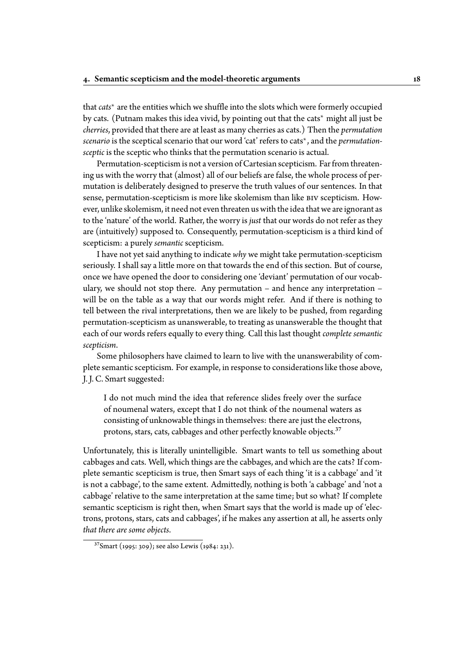that cats<sup>\*</sup> are the entities which we shuffle into the slots which were formerly occupied by cats. (Putnam makes this idea vivid, by pointing out that the cats\* might all just be *cherries*, provided that there are at least as many cherries as cats.) Then the *permutation* scenario is the sceptical scenario that our word 'cat' refers to cats<sup>\*</sup>, and the *permutation*sceptic is the sceptic who thinks that the permutation scenario is actual.

Permutation-scepticism is not a version of Cartesian scepticism. Far from threatening us with the worry that (almost) all of our beliefs are false, the whole process of permutation is deliberately designed to preserve the truth values of our sentences. In that sense, permutation-scepticism is more like skolemism than like BIV scepticism. However, unlike skolemism, it need not even threaten us with the idea that we are ignorant as to the 'nature' of the world. Rather, the worry is just that our words do not refer as they are (intuitively) supposed to. Consequently, permutation-scepticism is a third kind of scepticism: a purely semantic scepticism.

I have not yet said anything to indicate why we might take permutation-scepticism seriously. I shall say a little more on that towards the end of this section. But of course, once we have opened the door to considering one 'deviant' permutation of our vocabulary, we should not stop there. Any permutation  $-$  and hence any interpretation  $$ will be on the table as a way that our words might refer. And if there is nothing to tell between the rival interpretations, then we are likely to be pushed, from regarding permutation-scepticism as unanswerable, to treating as unanswerable the thought that each of our words refers equally to every thing. Call this last thought complete semantic scepticism.

Some philosophers have claimed to learn to live with the unanswerability of complete semantic scepticism. For example, in response to considerations like those above, J. J. C. Smart suggested:

I do not much mind the idea that reference slides freely over the surface of noumenal waters, except that I do not think of the noumenal waters as consisting of unknowable things in themselves: there are just the electrons, protons, stars, cats, cabbages and other perfectly knowable objects.<sup>37</sup>

Unfortunately, this is literally unintelligible. Smart wants to tell us something about cabbages and cats. Well, which things are the cabbages, and which are the cats? If complete semantic scepticism is true, then Smart says of each thing 'it is a cabbage' and 'it is not a cabbage', to the same extent. Admittedly, nothing is both 'a cabbage' and 'not a cabbage' relative to the same interpretation at the same time; but so what? If complete semantic scepticism is right then, when Smart says that the world is made up of 'electrons, protons, stars, cats and cabbages', if he makes any assertion at all, he asserts only that there are some objects.

<span id="page-17-0"></span> $37$ Smart (1995: 309): see also Lewis (1984: 231).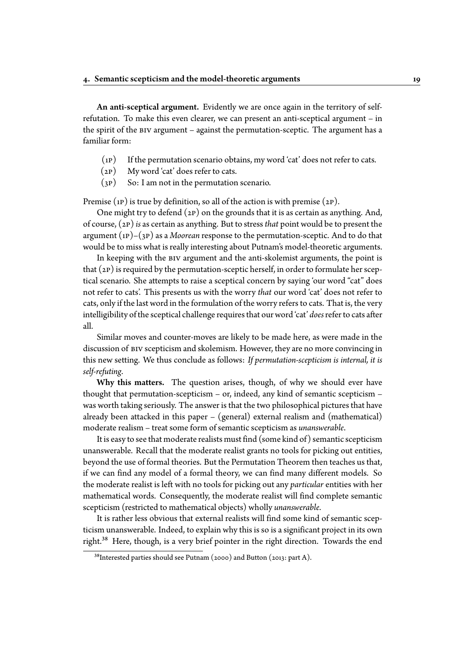An anti-sceptical argument. Evidently we are once again in the territory of selfrefutation. To make this even clearer, we can present an anti-sceptical argument - in the spirit of the BIV argument – against the permutation-sceptic. The argument has a familiar form:

- $(p)$ If the permutation scenario obtains, my word 'cat' does not refer to cats.
- My word 'cat' does refer to cats.  $(2P)$
- $(3P)$ So: I am not in the permutation scenario.

Premise (1P) is true by definition, so all of the action is with premise (2P).

One might try to defend  $(2P)$  on the grounds that it is as certain as anything. And, of course,  $(2P)$  is as certain as anything. But to stress that point would be to present the argument  $(p-(3P))$  as a Moorean response to the permutation-sceptic. And to do that would be to miss what is really interesting about Putnam's model-theoretic arguments.

In keeping with the BIV argument and the anti-skolemist arguments, the point is that  $(2P)$  is required by the permutation-sceptic herself, in order to formulate her sceptical scenario. She attempts to raise a sceptical concern by saying 'our word "cat" does not refer to cats'. This presents us with the worry that our word 'cat' does not refer to cats, only if the last word in the formulation of the worry refers to cats. That is, the very intelligibility of the sceptical challenge requires that our word 'cat' does refer to cats after all.

Similar moves and counter-moves are likely to be made here, as were made in the discussion of BIV scepticism and skolemism. However, they are no more convincing in this new setting. We thus conclude as follows: If permutation-scepticism is internal, it is self-refuting.

Why this matters. The question arises, though, of why we should ever have thought that permutation-scepticism – or, indeed, any kind of semantic scepticism – was worth taking seriously. The answer is that the two philosophical pictures that have already been attacked in this paper  $-$  (general) external realism and (mathematical) moderate realism - treat some form of semantic scepticism as unanswerable.

It is easy to see that moderate realists must find (some kind of) semantic scepticism unanswerable. Recall that the moderate realist grants no tools for picking out entities, beyond the use of formal theories. But the Permutation Theorem then teaches us that, if we can find any model of a formal theory, we can find many different models. So the moderate realist is left with no tools for picking out any *particular* entities with her mathematical words. Consequently, the moderate realist will find complete semantic scepticism (restricted to mathematical objects) wholly unanswerable.

It is rather less obvious that external realists will find some kind of semantic scepticism unanswerable. Indeed, to explain why this is so is a significant project in its own right.<sup>38</sup> Here, though, is a very brief pointer in the right direction. Towards the end

<span id="page-18-0"></span><sup>&</sup>lt;sup>38</sup>Interested parties should see Putnam (2000) and Button (2013: part A).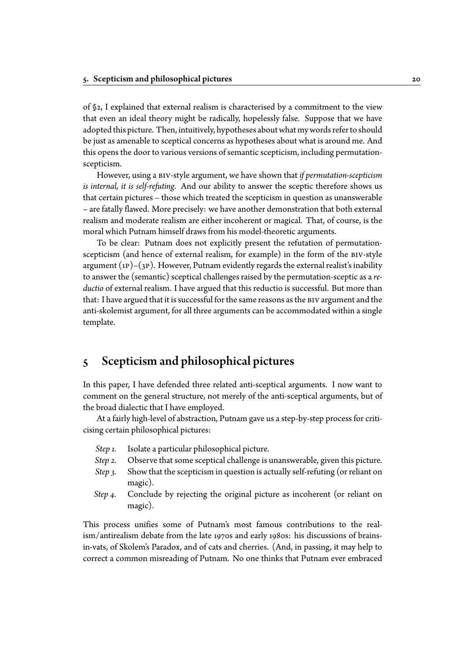of §2, I explained that external realism is characterised by a commitment to the view that even an ideal theory might be radically, hopelessly false. Suppose that we have adopted this picture. Then, intuitively, hypotheses about what my words refer to should be just as amenable to sceptical concerns as hypotheses about what is around me. And this opens the door to various versions of semantic scepticism, including permutationscepticism.

However, using a BIV-style argument, we have shown that if permutation-scepticism is internal, it is self-refuting. And our ability to answer the sceptic therefore shows us that certain pictures – those which treated the scepticism in question as unanswerable - are fatally flawed. More precisely: we have another demonstration that both external realism and moderate realism are either incoherent or magical. That, of course, is the moral which Putnam himself draws from his model-theoretic arguments.

To be clear: Putnam does not explicitly present the refutation of permutationscepticism (and hence of external realism, for example) in the form of the BIV-style argument  $(p-(3p)$ . However, Putnam evidently regards the external realist's inability to answer the (semantic) sceptical challenges raised by the permutation-sceptic as a reductio of external realism. I have argued that this reductio is successful. But more than that: I have argued that it is successful for the same reasons as the BIV argument and the anti-skolemist argument, for all three arguments can be accommodated within a single template.

#### Scepticism and philosophical pictures  $\overline{\mathbf{S}}$

In this paper, I have defended three related anti-sceptical arguments. I now want to comment on the general structure, not merely of the anti-sceptical arguments, but of the broad dialectic that I have employed.

At a fairly high-level of abstraction, Putnam gave us a step-by-step process for criticising certain philosophical pictures:

- Step 1. Isolate a particular philosophical picture.
- Step 2. Observe that some sceptical challenge is unanswerable, given this picture.
- Show that the scepticism in question is actually self-refuting (or reliant on Step 3. magic).
- Conclude by rejecting the original picture as incoherent (or reliant on Step 4. magic).

This process unifies some of Putnam's most famous contributions to the realism/antirealism debate from the late 1970s and early 1980s: his discussions of brainsin-vats, of Skolem's Paradox, and of cats and cherries. (And, in passing, it may help to correct a common misreading of Putnam. No one thinks that Putnam ever embraced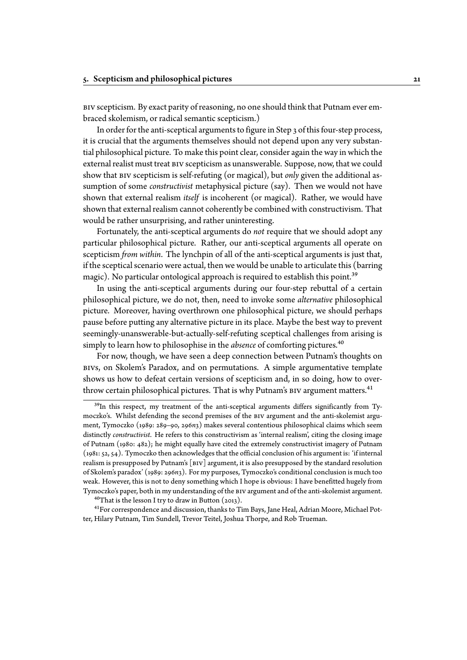BIV scepticism. By exact parity of reasoning, no one should think that Putnam ever embraced skolemism, or radical semantic scepticism.)

In order for the anti-sceptical arguments to figure in Step 3 of this four-step process, it is crucial that the arguments themselves should not depend upon any very substantial philosophical picture. To make this point clear, consider again the way in which the external realist must treat BIV scepticism as unanswerable. Suppose, now, that we could show that BIV scepticism is self-refuting (or magical), but only given the additional assumption of some *constructivist* metaphysical picture (say). Then we would not have shown that external realism itself is incoherent (or magical). Rather, we would have shown that external realism cannot coherently be combined with constructivism. That would be rather unsurprising, and rather uninteresting.

Fortunately, the anti-sceptical arguments do not require that we should adopt any particular philosophical picture. Rather, our anti-sceptical arguments all operate on scepticism from within. The lynchpin of all of the anti-sceptical arguments is just that, if the sceptical scenario were actual, then we would be unable to articulate this (barring magic). No particular ontological approach is required to establish this point.<sup>39</sup>

In using the anti-sceptical arguments during our four-step rebuttal of a certain philosophical picture, we do not, then, need to invoke some *alternative* philosophical picture. Moreover, having overthrown one philosophical picture, we should perhaps pause before putting any alternative picture in its place. Maybe the best way to prevent seemingly-unanswerable-but-actually-self-refuting sceptical challenges from arising is simply to learn how to philosophise in the *absence* of comforting pictures.<sup>40</sup>

For now, though, we have seen a deep connection between Putnam's thoughts on BIVS, on Skolem's Paradox, and on permutations. A simple argumentative template shows us how to defeat certain versions of scepticism and, in so doing, how to overthrow certain philosophical pictures. That is why Putnam's BIV argument matters.<sup>41</sup>

<span id="page-20-0"></span><sup>&</sup>lt;sup>39</sup>In this respect, my treatment of the anti-sceptical arguments differs significantly from Tymoczko's. Whilst defending the second premises of the BIV argument and the anti-skolemist argument, Tymoczko (1989: 289-90, 296n3) makes several contentious philosophical claims which seem distinctly *constructivist*. He refers to this constructivism as 'internal realism', citing the closing image of Putnam (1980: 482); he might equally have cited the extremely constructivist imagery of Putnam  $(1981: 52, 54)$ . Tymoczko then acknowledges that the official conclusion of his argument is: 'if internal realism is presupposed by Putnam's [BIV] argument, it is also presupposed by the standard resolution of Skolem's paradox' (1989: 296n3). For my purposes, Tymoczko's conditional conclusion is much too weak. However, this is not to deny something which I hope is obvious: I have benefitted hugely from Tymoczko's paper, both in my understanding of the BIV argument and of the anti-skolemist argument.

<span id="page-20-2"></span><span id="page-20-1"></span><sup>&</sup>lt;sup>40</sup>That is the lesson I try to draw in Button  $(2013)$ .

<sup>&</sup>lt;sup>41</sup>For correspondence and discussion, thanks to Tim Bays, Jane Heal, Adrian Moore, Michael Potter, Hilary Putnam, Tim Sundell, Trevor Teitel, Joshua Thorpe, and Rob Trueman.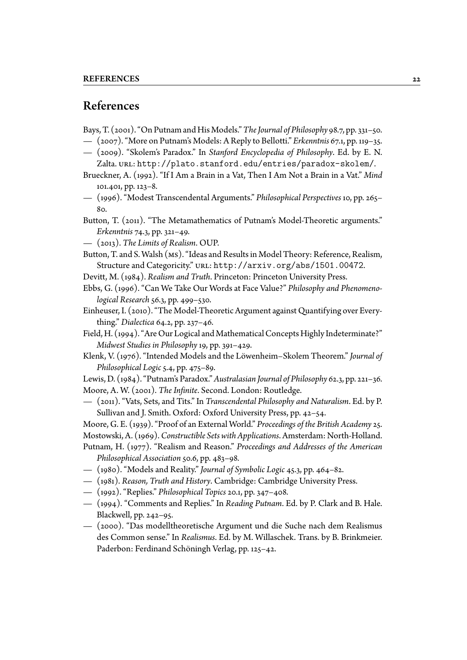## **References**

<span id="page-21-14"></span>Bays, T. (2001). "On Putnam and His Models." The Journal of Philosophy 98.7, pp. 331-50.

- <span id="page-21-15"></span>- (2007). "More on Putnam's Models: A Reply to Bellotti." Erkenntnis 67.1, pp. 119-35.
- <span id="page-21-12"></span>- (2009). "Skolem's Paradox." In Stanford Encyclopedia of Philosophy. Ed. by E. N. Zalta. URL: http://plato.stanford.edu/entries/paradox-skolem/.
- <span id="page-21-6"></span>Brueckner, A. (1992). "If I Am a Brain in a Vat, Then I Am Not a Brain in a Vat." Mind 101.401, pp. 123-8.
- <span id="page-21-8"></span>- (1996). "Modest Transcendental Arguments." Philosophical Perspectives 10, pp. 265-80.
- <span id="page-21-16"></span>Button, T. (2011). "The Metamathematics of Putnam's Model-Theoretic arguments." Erkenntnis 74.3, pp. 321-49.
- <span id="page-21-4"></span> $-$  (2013). The Limits of Realism. OUP.
- <span id="page-21-11"></span>Button, T. and S. Walsh (Ms). "Ideas and Results in Model Theory: Reference, Realism, Structure and Categoricity." URL: http://arxiv.org/abs/1501.00472.
- <span id="page-21-2"></span>Devitt, M. (1984). Realism and Truth. Princeton: Princeton University Press.
- <span id="page-21-9"></span>Ebbs, G. (1996). "Can We Take Our Words at Face Value?" Philosophy and Phenomenological Research 56.3, pp. 499-530.
- <span id="page-21-18"></span>Einheuser, I. (2010). "The Model-Theoretic Argument against Quantifying over Everything." Dialectica  $64.2$ , pp.  $237-46$ .
- <span id="page-21-22"></span>Field, H. (1994). "Are Our Logical and Mathematical Concepts Highly Indeterminate?" Midwest Studies in Philosophy 19, pp. 391-429.
- <span id="page-21-19"></span>Klenk, V. (1976). "Intended Models and the Löwenheim-Skolem Theorem." Journal of Philosophical Logic 5.4, pp. 475-89.
- <span id="page-21-20"></span><span id="page-21-13"></span>Lewis, D. (1984). "Putnam's Paradox." Australasian Journal of Philosophy 62.3, pp. 221-36. Moore, A. W. (2001). The Infinite. Second. London: Routledge.
- <span id="page-21-17"></span>- (2011). "Vats, Sets, and Tits." In Transcendental Philosophy and Naturalism. Ed. by P. Sullivan and J. Smith. Oxford: Oxford University Press, pp. 42-54.
- <span id="page-21-5"></span>Moore, G. E. (1939). "Proof of an External World." Proceedings of the British Academy 25.
- <span id="page-21-10"></span>Mostowski, A. (1969). Constructible Sets with Applications. Amsterdam: North-Holland.
- <span id="page-21-1"></span>Putnam, H. (1977). "Realism and Reason." Proceedings and Addresses of the American Philosophical Association 50.6, pp. 483-98.
- <span id="page-21-21"></span>- (1980). "Models and Reality." Journal of Symbolic Logic 45.3, pp. 464–82.
- <span id="page-21-0"></span>- (1981). Reason, Truth and History. Cambridge: Cambridge University Press.
- <span id="page-21-7"></span> $-$  (1992). "Replies." Philosophical Topics 20.1, pp. 347–408.
- <span id="page-21-3"></span>- (1994). "Comments and Replies." In Reading Putnam. Ed. by P. Clark and B. Hale. Blackwell, pp. 242-95.
- <span id="page-21-23"></span>- (2000). "Das modelltheoretische Argument und die Suche nach dem Realismus des Common sense." In Realismus. Ed. by M. Willaschek. Trans. by B. Brinkmeier. Paderbon: Ferdinand Schöningh Verlag, pp. 125-42.